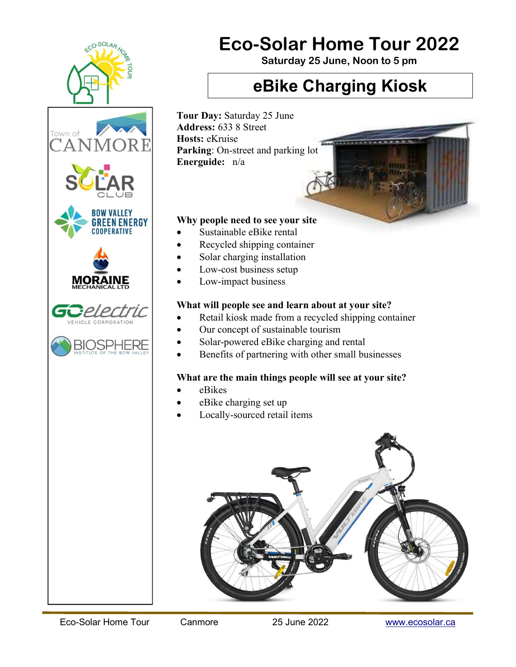

# Eco-Solar Home Tour 2022

Saturday 25 June, Noon to 5 pm

## eBike Charging Kiosk

Tour Day: Saturday 25 June Address: 633 8 Street Hosts: eKruise Parking: On-street and parking lot Energuide: n/a

#### Why people need to see your site

- Sustainable eBike rental
- Recycled shipping container
- Solar charging installation
- Low-cost business setup
- Low-impact business

### What will people see and learn about at your site?

- Retail kiosk made from a recycled shipping container
- Our concept of sustainable tourism
- Solar-powered eBike charging and rental
- Benefits of partnering with other small businesses

### What are the main things people will see at your site?

- eBikes
- eBike charging set up
- Locally-sourced retail items